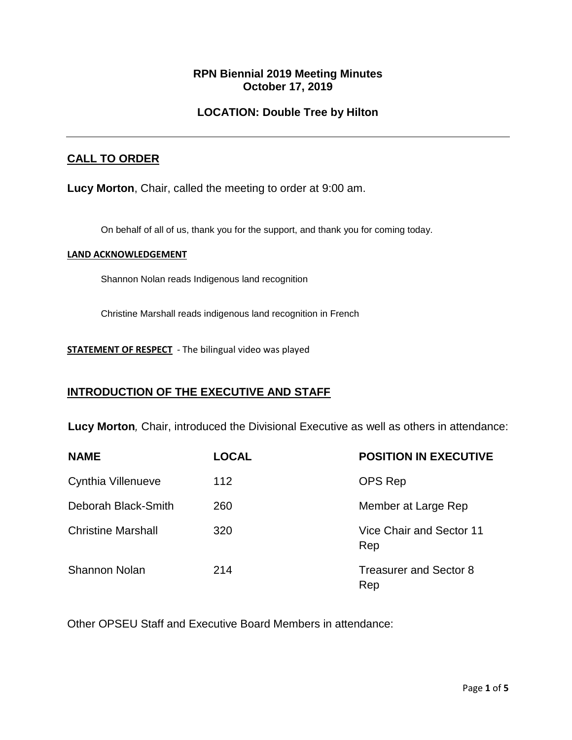### **RPN Biennial 2019 Meeting Minutes October 17, 2019**

### **LOCATION: Double Tree by Hilton**

### **CALL TO ORDER**

**Lucy Morton**, Chair, called the meeting to order at 9:00 am.

On behalf of all of us, thank you for the support, and thank you for coming today.

#### **LAND ACKNOWLEDGEMENT**

Shannon Nolan reads Indigenous land recognition

Christine Marshall reads indigenous land recognition in French

**STATEMENT OF RESPECT** - The bilingual video was played

### **INTRODUCTION OF THE EXECUTIVE AND STAFF**

**Lucy Morton***,* Chair, introduced the Divisional Executive as well as others in attendance:

| <b>NAME</b>               | <b>LOCAL</b> | <b>POSITION IN EXECUTIVE</b>         |
|---------------------------|--------------|--------------------------------------|
| Cynthia Villenueve        | 112          | <b>OPS Rep</b>                       |
| Deborah Black-Smith       | 260          | Member at Large Rep                  |
| <b>Christine Marshall</b> | 320          | Vice Chair and Sector 11<br>Rep      |
| <b>Shannon Nolan</b>      | 214          | <b>Treasurer and Sector 8</b><br>Rep |

Other OPSEU Staff and Executive Board Members in attendance: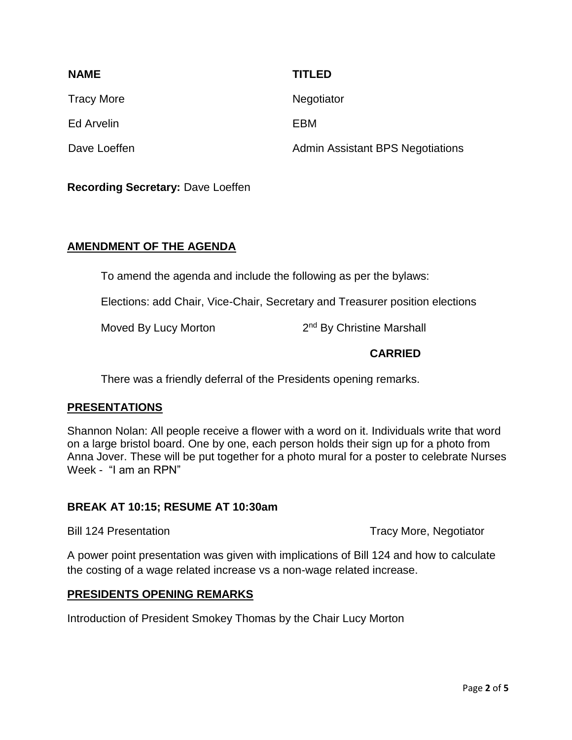| <b>NAME</b>       | <b>TITLED</b>                           |
|-------------------|-----------------------------------------|
| <b>Tracy More</b> | Negotiator                              |
| Ed Arvelin        | EBM                                     |
| Dave Loeffen      | <b>Admin Assistant BPS Negotiations</b> |

**Recording Secretary:** Dave Loeffen

### **AMENDMENT OF THE AGENDA**

To amend the agenda and include the following as per the bylaws:

Elections: add Chair, Vice-Chair, Secretary and Treasurer position elections

Moved By Lucy Morton

2<sup>nd</sup> By Christine Marshall

### **CARRIED**

There was a friendly deferral of the Presidents opening remarks.

### **PRESENTATIONS**

Shannon Nolan: All people receive a flower with a word on it. Individuals write that word on a large bristol board. One by one, each person holds their sign up for a photo from Anna Jover. These will be put together for a photo mural for a poster to celebrate Nurses Week - "I am an RPN"

### **BREAK AT 10:15; RESUME AT 10:30am**

Bill 124 Presentation **Tracy More, Negotiator** Tracy More, Negotiator

A power point presentation was given with implications of Bill 124 and how to calculate the costing of a wage related increase vs a non-wage related increase.

### **PRESIDENTS OPENING REMARKS**

Introduction of President Smokey Thomas by the Chair Lucy Morton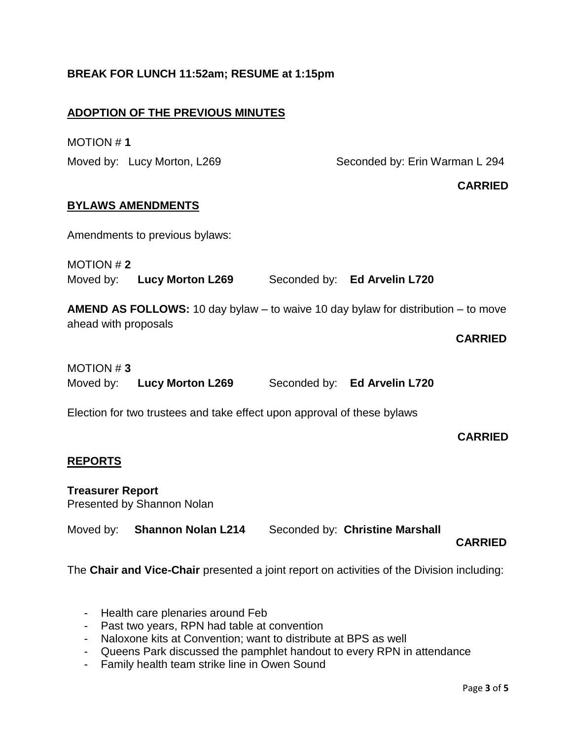# **BREAK FOR LUNCH 11:52am; RESUME at 1:15pm ADOPTION OF THE PREVIOUS MINUTES** MOTION # **1** Moved by: Lucy Morton, L269 Seconded by: Erin Warman L 294 **CARRIED BYLAWS AMENDMENTS**  Amendments to previous bylaws: MOTION # **2** Moved by: **Lucy Morton L269** Seconded by: **Ed Arvelin L720 AMEND AS FOLLOWS:** 10 day bylaw – to waive 10 day bylaw for distribution – to move ahead with proposals  **CARRIED** MOTION # **3** Moved by: **Lucy Morton L269** Seconded by: **Ed Arvelin L720** Election for two trustees and take effect upon approval of these bylaws **CARRIED REPORTS Treasurer Report** Presented by Shannon Nolan Moved by: **Shannon Nolan L214** Seconded by: **Christine Marshall CARRIED** The **Chair and Vice-Chair** presented a joint report on activities of the Division including:

- Health care plenaries around Feb
- Past two years, RPN had table at convention
- Naloxone kits at Convention; want to distribute at BPS as well
- Queens Park discussed the pamphlet handout to every RPN in attendance
- Family health team strike line in Owen Sound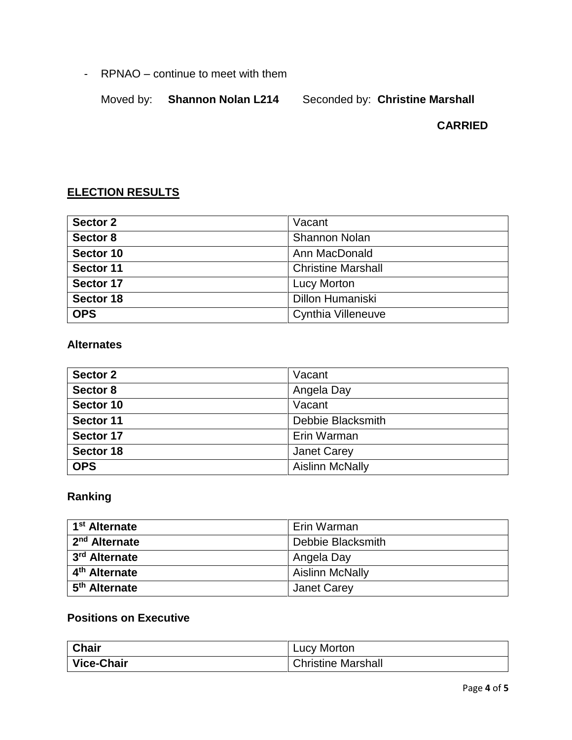- RPNAO – continue to meet with them

Moved by: **Shannon Nolan L214** 

### **CARRIED**

## **ELECTION RESULTS**

| Sector 2   | Vacant                    |
|------------|---------------------------|
| Sector 8   | <b>Shannon Nolan</b>      |
| Sector 10  | Ann MacDonald             |
| Sector 11  | <b>Christine Marshall</b> |
| Sector 17  | <b>Lucy Morton</b>        |
| Sector 18  | <b>Dillon Humaniski</b>   |
| <b>OPS</b> | <b>Cynthia Villeneuve</b> |

### **Alternates**

| Sector 2   | Vacant                 |
|------------|------------------------|
| Sector 8   | Angela Day             |
| Sector 10  | Vacant                 |
| Sector 11  | Debbie Blacksmith      |
| Sector 17  | Erin Warman            |
| Sector 18  | <b>Janet Carey</b>     |
| <b>OPS</b> | <b>Aislinn McNally</b> |

## **Ranking**

| 1 <sup>st</sup> Alternate | Erin Warman            |
|---------------------------|------------------------|
| 2 <sup>nd</sup> Alternate | Debbie Blacksmith      |
| 3 <sup>rd</sup> Alternate | Angela Day             |
| 4 <sup>th</sup> Alternate | <b>Aislinn McNally</b> |
| 5 <sup>th</sup> Alternate | <b>Janet Carey</b>     |

## **Positions on Executive**

| <b>Chair</b> | Lucy Morton        |
|--------------|--------------------|
| Vice-Chair   | Christine Marshall |